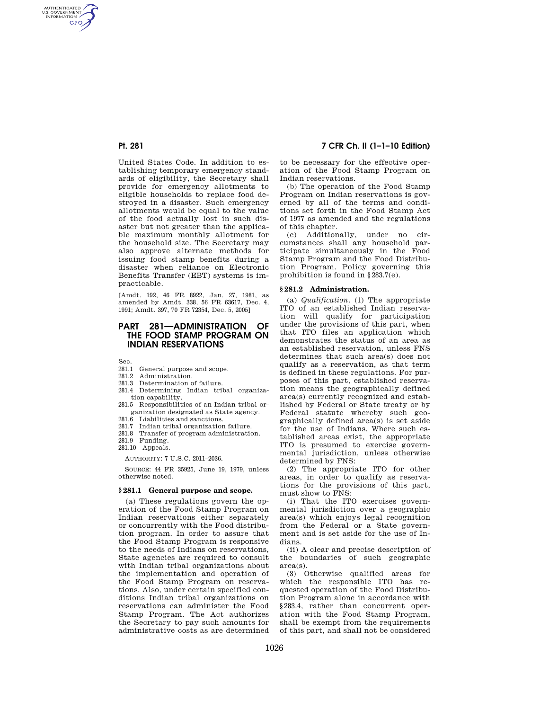AUTHENTICATED<br>U.S. GOVERNMENT<br>INFORMATION **GPO** 

> United States Code. In addition to establishing temporary emergency standards of eligibility, the Secretary shall provide for emergency allotments to eligible households to replace food destroyed in a disaster. Such emergency allotments would be equal to the value of the food actually lost in such disaster but not greater than the applicable maximum monthly allotment for the household size. The Secretary may also approve alternate methods for issuing food stamp benefits during a disaster when reliance on Electronic Benefits Transfer (EBT) systems is impracticable.

[Amdt. 192, 46 FR 8922, Jan. 27, 1981, as amended by Amdt. 338, 56 FR 63617, Dec. 4, 1991; Amdt. 397, 70 FR 72354, Dec. 5, 2005]

# **PART 281—ADMINISTRATION OF THE FOOD STAMP PROGRAM ON INDIAN RESERVATIONS**

Sec.

- 281.1 General purpose and scope.
- 281.2 Administration.
- 281.3 Determination of failure.
- 281.4 Determining Indian tribal organization capability.
- 281.5 Responsibilities of an Indian tribal organization designated as State agency.
- 281.6 Liabilities and sanctions.
- 281.7 Indian tribal organization failure.
- 281.8 Transfer of program administration. 281.9 Funding.
- 281.10 Appeals.

AUTHORITY: 7 U.S.C. 2011–2036.

SOURCE: 44 FR 35925, June 19, 1979, unless otherwise noted.

### **§ 281.1 General purpose and scope.**

(a) These regulations govern the operation of the Food Stamp Program on Indian reservations either separately or concurrently with the Food distribution program. In order to assure that the Food Stamp Program is responsive to the needs of Indians on reservations, State agencies are required to consult with Indian tribal organizations about the implementation and operation of the Food Stamp Program on reservations. Also, under certain specified conditions Indian tribal organizations on reservations can administer the Food Stamp Program. The Act authorizes the Secretary to pay such amounts for administrative costs as are determined

**Pt. 281 7 CFR Ch. II (1–1–10 Edition)** 

to be necessary for the effective operation of the Food Stamp Program on Indian reservations.

(b) The operation of the Food Stamp Program on Indian reservations is governed by all of the terms and conditions set forth in the Food Stamp Act of 1977 as amended and the regulations of this chapter.

(c) Additionally, under no circumstances shall any household participate simultaneously in the Food Stamp Program and the Food Distribution Program. Policy governing this prohibition is found in §283.7(e).

## **§ 281.2 Administration.**

(a) *Qualification.* (1) The appropriate ITO of an established Indian reservation will qualify for participation under the provisions of this part, when that ITO files an application which demonstrates the status of an area as an established reservation, unless FNS determines that such area(s) does not qualify as a reservation, as that term is defined in these regulations. For purposes of this part, established reservation means the geographically defined area(s) currently recognized and established by Federal or State treaty or by Federal statute whereby such geographically defined area(s) is set aside for the use of Indians. Where such established areas exist, the appropriate ITO is presumed to exercise governmental jurisdiction, unless otherwise determined by FNS:

(2) The appropriate ITO for other areas, in order to qualify as reservations for the provisions of this part, must show to FNS:

(i) That the ITO exercises governmental jurisdiction over a geographic area(s) which enjoys legal recognition from the Federal or a State government and is set aside for the use of Indians.

(ii) A clear and precise description of the boundaries of such geographic area(s).

(3) Otherwise qualified areas for which the responsible ITO has requested operation of the Food Distribution Program alone in accordance with §283.4, rather than concurrent operation with the Food Stamp Program, shall be exempt from the requirements of this part, and shall not be considered